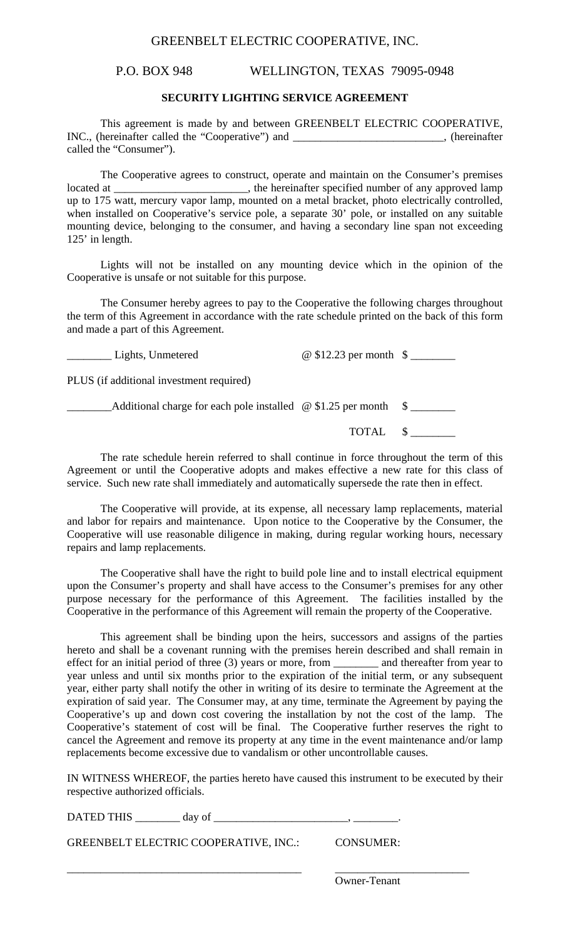## GREENBELT ELECTRIC COOPERATIVE, INC.

## P.O. BOX 948 WELLINGTON, TEXAS 79095-0948

#### **SECURITY LIGHTING SERVICE AGREEMENT**

 This agreement is made by and between GREENBELT ELECTRIC COOPERATIVE, INC., (hereinafter called the "Cooperative") and \_\_\_\_\_\_\_\_\_\_\_\_\_\_\_\_\_, (hereinafter called the "Consumer").

 The Cooperative agrees to construct, operate and maintain on the Consumer's premises located at \_\_\_\_\_\_\_\_\_\_\_\_\_\_\_\_\_\_\_\_\_\_, the hereinafter specified number of any approved lamp up to 175 watt, mercury vapor lamp, mounted on a metal bracket, photo electrically controlled, when installed on Cooperative's service pole, a separate 30' pole, or installed on any suitable mounting device, belonging to the consumer, and having a secondary line span not exceeding 125' in length.

 Lights will not be installed on any mounting device which in the opinion of the Cooperative is unsafe or not suitable for this purpose.

 The Consumer hereby agrees to pay to the Cooperative the following charges throughout the term of this Agreement in accordance with the rate schedule printed on the back of this form and made a part of this Agreement.

\_\_\_\_\_\_\_\_ Lights, Unmetered @ \$12.23 per month \$ \_\_\_\_\_\_\_\_

PLUS (if additional investment required)

 $\Box$  Additional charge for each pole installed  $\omega$  \$1.25 per month  $\delta$ 

TOTAL \$ \_\_\_\_\_\_\_\_

 The rate schedule herein referred to shall continue in force throughout the term of this Agreement or until the Cooperative adopts and makes effective a new rate for this class of service. Such new rate shall immediately and automatically supersede the rate then in effect.

 The Cooperative will provide, at its expense, all necessary lamp replacements, material and labor for repairs and maintenance. Upon notice to the Cooperative by the Consumer, the Cooperative will use reasonable diligence in making, during regular working hours, necessary repairs and lamp replacements.

 The Cooperative shall have the right to build pole line and to install electrical equipment upon the Consumer's property and shall have access to the Consumer's premises for any other purpose necessary for the performance of this Agreement. The facilities installed by the Cooperative in the performance of this Agreement will remain the property of the Cooperative.

 This agreement shall be binding upon the heirs, successors and assigns of the parties hereto and shall be a covenant running with the premises herein described and shall remain in effect for an initial period of three (3) years or more, from \_\_\_\_\_\_\_\_ and thereafter from year to year unless and until six months prior to the expiration of the initial term, or any subsequent year, either party shall notify the other in writing of its desire to terminate the Agreement at the expiration of said year. The Consumer may, at any time, terminate the Agreement by paying the Cooperative's up and down cost covering the installation by not the cost of the lamp. The Cooperative's statement of cost will be final. The Cooperative further reserves the right to cancel the Agreement and remove its property at any time in the event maintenance and/or lamp replacements become excessive due to vandalism or other uncontrollable causes.

IN WITNESS WHEREOF, the parties hereto have caused this instrument to be executed by their respective authorized officials.

DATED THIS \_\_\_\_\_\_\_\_ day of \_\_\_\_\_\_\_\_\_\_\_\_\_\_\_\_\_\_\_\_\_\_\_\_, \_\_\_\_\_\_\_\_.

GREENBELT ELECTRIC COOPERATIVE, INC.: CONSUMER:

\_\_\_\_\_\_\_\_\_\_\_\_\_\_\_\_\_\_\_\_\_\_\_\_\_\_\_\_\_\_\_\_\_\_\_\_\_\_\_\_\_\_ \_\_\_\_\_\_\_\_\_\_\_\_\_\_\_\_\_\_\_\_\_\_\_\_

Owner-Tenant